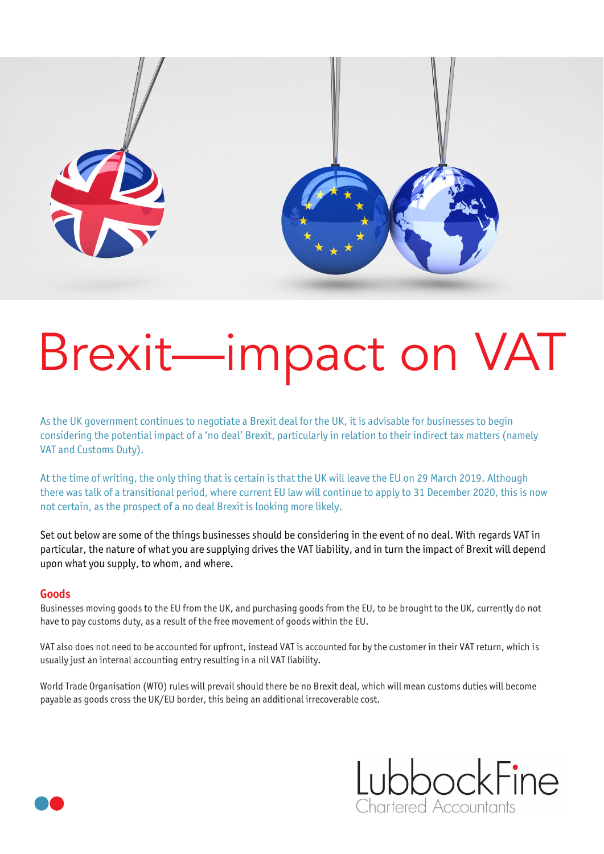

## Brexit—impact on VAT

As the UK government continues to negotiate a Brexit deal for the UK, it is advisable for businesses to begin considering the potential impact of a 'no deal' Brexit, particularly in relation to their indirect tax matters (namely VAT and Customs Duty).

At the time of writing, the only thing that is certain is that the UK will leave the EU on 29 March 2019. Although there was talk of a transitional period, where current EU law will continue to apply to 31 December 2020, this is now not certain, as the prospect of a no deal Brexit is looking more likely.

Set out below are some of the things businesses should be considering in the event of no deal. With regards VAT in particular, the nature of what you are supplying drives the VAT liability, and in turn the impact of Brexit will depend upon what you supply, to whom, and where.

## **Goods**

Businesses moving goods to the EU from the UK, and purchasing goods from the EU, to be brought to the UK, currently do not have to pay customs duty, as a result of the free movement of goods within the EU.

VAT also does not need to be accounted for upfront, instead VAT is accounted for by the customer in their VAT return, which is usually just an internal accounting entry resulting in a nil VAT liability.

World Trade Organisation (WTO) rules will prevail should there be no Brexit deal, which will mean customs duties will become payable as goods cross the UK/EU border, this being an additional irrecoverable cost.



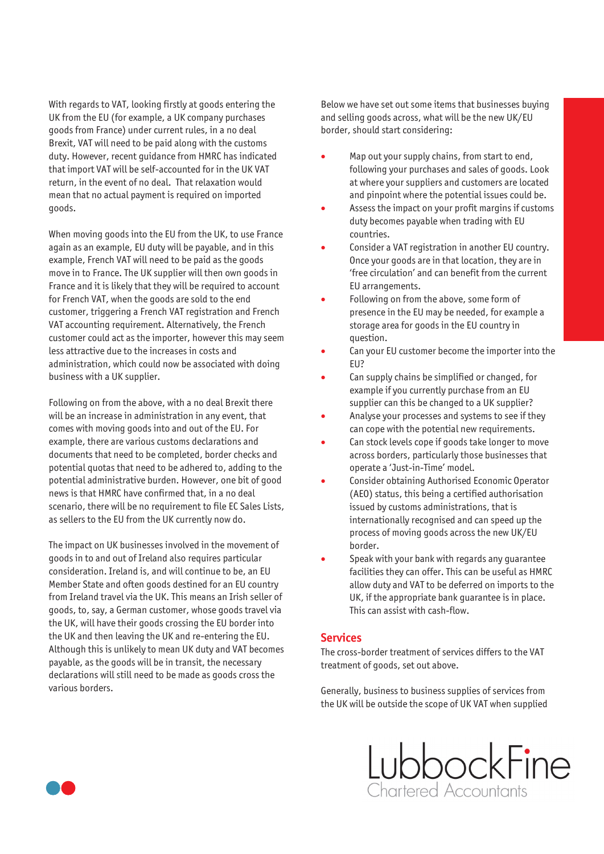With regards to VAT, looking firstly at goods entering the UK from the EU (for example, a UK company purchases goods from France) under current rules, in a no deal Brexit, VAT will need to be paid along with the customs duty. However, recent guidance from HMRC has indicated that import VAT will be self-accounted for in the UK VAT return, in the event of no deal. That relaxation would mean that no actual payment is required on imported goods.

When moving goods into the EU from the UK, to use France again as an example, EU duty will be payable, and in this example, French VAT will need to be paid as the goods move in to France. The UK supplier will then own goods in France and it is likely that they will be required to account for French VAT, when the goods are sold to the end customer, triggering a French VAT registration and French VAT accounting requirement. Alternatively, the French customer could act as the importer, however this may seem less attractive due to the increases in costs and administration, which could now be associated with doing business with a UK supplier.

Following on from the above, with a no deal Brexit there will be an increase in administration in any event, that comes with moving goods into and out of the EU. For example, there are various customs declarations and documents that need to be completed, border checks and potential quotas that need to be adhered to, adding to the potential administrative burden. However, one bit of good news is that HMRC have confirmed that, in a no deal scenario, there will be no requirement to file EC Sales Lists, as sellers to the EU from the UK currently now do.

The impact on UK businesses involved in the movement of goods in to and out of Ireland also requires particular consideration. Ireland is, and will continue to be, an EU Member State and often goods destined for an EU country from Ireland travel via the UK. This means an Irish seller of goods, to, say, a German customer, whose goods travel via the UK, will have their goods crossing the EU border into the UK and then leaving the UK and re-entering the EU. Although this is unlikely to mean UK duty and VAT becomes payable, as the goods will be in transit, the necessary declarations will still need to be made as goods cross the various borders.

Below we have set out some items that businesses buying and selling goods across, what will be the new UK/EU border, should start considering:

- Map out your supply chains, from start to end, following your purchases and sales of goods. Look at where your suppliers and customers are located and pinpoint where the potential issues could be.
- Assess the impact on your profit margins if customs duty becomes payable when trading with EU countries.
- Consider a VAT registration in another EU country. Once your goods are in that location, they are in 'free circulation' and can benefit from the current EU arrangements.
- Following on from the above, some form of presence in the EU may be needed, for example a storage area for goods in the EU country in question.
- Can your EU customer become the importer into the EU?
- Can supply chains be simplified or changed, for example if you currently purchase from an EU supplier can this be changed to a UK supplier?
- Analyse your processes and systems to see if they can cope with the potential new requirements.
- Can stock levels cope if goods take longer to move across borders, particularly those businesses that operate a 'Just-in-Time' model.
- Consider obtaining Authorised Economic Operator (AEO) status, this being a certified authorisation issued by customs administrations, that is internationally recognised and can speed up the process of moving goods across the new UK/EU border.
- Speak with your bank with regards any quarantee facilities they can offer. This can be useful as HMRC allow duty and VAT to be deferred on imports to the UK, if the appropriate bank guarantee is in place. This can assist with cash-flow.

## **Services**

The cross-border treatment of services differs to the VAT treatment of goods, set out above.

Generally, business to business supplies of services from the UK will be outside the scope of UK VAT when supplied